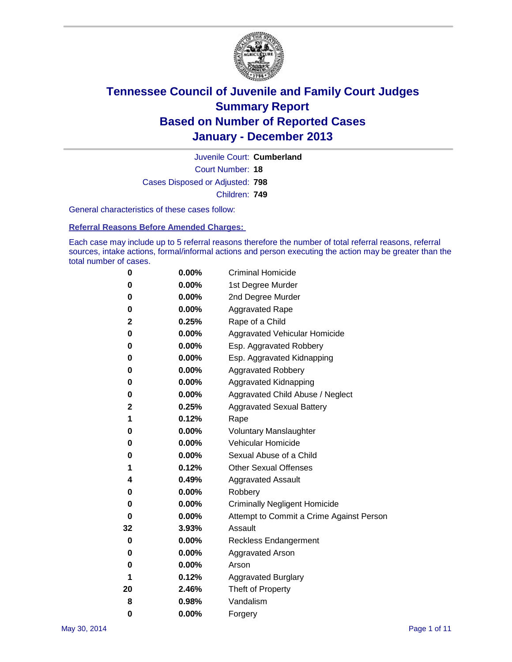

Court Number: **18** Juvenile Court: **Cumberland** Cases Disposed or Adjusted: **798** Children: **749**

General characteristics of these cases follow:

**Referral Reasons Before Amended Charges:** 

Each case may include up to 5 referral reasons therefore the number of total referral reasons, referral sources, intake actions, formal/informal actions and person executing the action may be greater than the total number of cases.

| 0  | 0.00%    | <b>Criminal Homicide</b>                 |
|----|----------|------------------------------------------|
| 0  | 0.00%    | 1st Degree Murder                        |
| 0  | 0.00%    | 2nd Degree Murder                        |
| 0  | $0.00\%$ | <b>Aggravated Rape</b>                   |
| 2  | 0.25%    | Rape of a Child                          |
| 0  | 0.00%    | <b>Aggravated Vehicular Homicide</b>     |
| 0  | $0.00\%$ | Esp. Aggravated Robbery                  |
| 0  | 0.00%    | Esp. Aggravated Kidnapping               |
| 0  | 0.00%    | <b>Aggravated Robbery</b>                |
| 0  | $0.00\%$ | Aggravated Kidnapping                    |
| 0  | 0.00%    | Aggravated Child Abuse / Neglect         |
| 2  | 0.25%    | <b>Aggravated Sexual Battery</b>         |
| 1  | 0.12%    | Rape                                     |
| 0  | 0.00%    | <b>Voluntary Manslaughter</b>            |
| 0  | 0.00%    | Vehicular Homicide                       |
| 0  | $0.00\%$ | Sexual Abuse of a Child                  |
| 1  | 0.12%    | <b>Other Sexual Offenses</b>             |
| 4  | 0.49%    | <b>Aggravated Assault</b>                |
| 0  | 0.00%    | Robbery                                  |
| 0  | 0.00%    | <b>Criminally Negligent Homicide</b>     |
| 0  | 0.00%    | Attempt to Commit a Crime Against Person |
| 32 | 3.93%    | Assault                                  |
| 0  | 0.00%    | <b>Reckless Endangerment</b>             |
| 0  | 0.00%    | <b>Aggravated Arson</b>                  |
| 0  | $0.00\%$ | Arson                                    |
| 1  | 0.12%    | <b>Aggravated Burglary</b>               |
| 20 | 2.46%    | Theft of Property                        |
| 8  | 0.98%    | Vandalism                                |
| 0  | 0.00%    | Forgery                                  |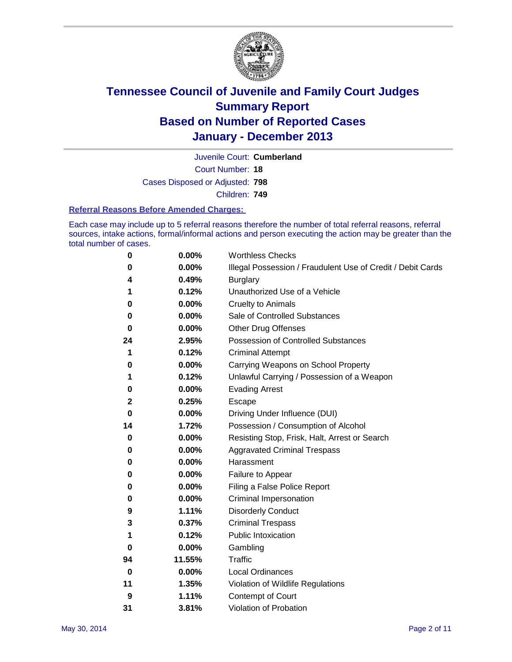

Court Number: **18** Juvenile Court: **Cumberland** Cases Disposed or Adjusted: **798** Children: **749**

#### **Referral Reasons Before Amended Charges:**

Each case may include up to 5 referral reasons therefore the number of total referral reasons, referral sources, intake actions, formal/informal actions and person executing the action may be greater than the total number of cases.

| 0            | 0.00%  | <b>Worthless Checks</b>                                     |
|--------------|--------|-------------------------------------------------------------|
| 0            | 0.00%  | Illegal Possession / Fraudulent Use of Credit / Debit Cards |
| 4            | 0.49%  | <b>Burglary</b>                                             |
| 1            | 0.12%  | Unauthorized Use of a Vehicle                               |
| 0            | 0.00%  | <b>Cruelty to Animals</b>                                   |
| 0            | 0.00%  | Sale of Controlled Substances                               |
| 0            | 0.00%  | <b>Other Drug Offenses</b>                                  |
| 24           | 2.95%  | Possession of Controlled Substances                         |
| 1            | 0.12%  | <b>Criminal Attempt</b>                                     |
| 0            | 0.00%  | Carrying Weapons on School Property                         |
| 1            | 0.12%  | Unlawful Carrying / Possession of a Weapon                  |
| 0            | 0.00%  | <b>Evading Arrest</b>                                       |
| $\mathbf{2}$ | 0.25%  | Escape                                                      |
| 0            | 0.00%  | Driving Under Influence (DUI)                               |
| 14           | 1.72%  | Possession / Consumption of Alcohol                         |
| 0            | 0.00%  | Resisting Stop, Frisk, Halt, Arrest or Search               |
| 0            | 0.00%  | <b>Aggravated Criminal Trespass</b>                         |
| 0            | 0.00%  | Harassment                                                  |
| 0            | 0.00%  | Failure to Appear                                           |
| 0            | 0.00%  | Filing a False Police Report                                |
| 0            | 0.00%  | Criminal Impersonation                                      |
| 9            | 1.11%  | <b>Disorderly Conduct</b>                                   |
| 3            | 0.37%  | <b>Criminal Trespass</b>                                    |
| 1            | 0.12%  | <b>Public Intoxication</b>                                  |
| 0            | 0.00%  | Gambling                                                    |
| 94           | 11.55% | Traffic                                                     |
| 0            | 0.00%  | Local Ordinances                                            |
| 11           | 1.35%  | Violation of Wildlife Regulations                           |
| 9            | 1.11%  | Contempt of Court                                           |
| 31           | 3.81%  | Violation of Probation                                      |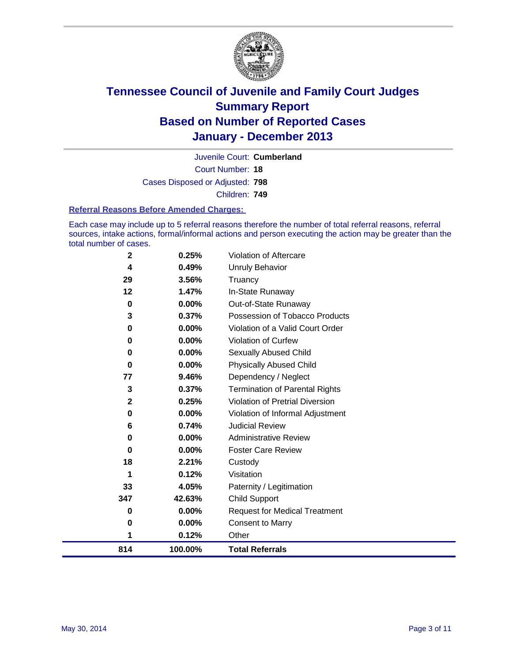

Court Number: **18** Juvenile Court: **Cumberland** Cases Disposed or Adjusted: **798** Children: **749**

#### **Referral Reasons Before Amended Charges:**

Each case may include up to 5 referral reasons therefore the number of total referral reasons, referral sources, intake actions, formal/informal actions and person executing the action may be greater than the total number of cases.

| 814          | 100.00%        | <b>Total Referrals</b>                 |
|--------------|----------------|----------------------------------------|
| 1            | 0.12%          | Other                                  |
| 0            | 0.00%          | Consent to Marry                       |
| 0            | 0.00%          | <b>Request for Medical Treatment</b>   |
| 347          | 42.63%         | <b>Child Support</b>                   |
| 33           | 4.05%          | Paternity / Legitimation               |
| 1            | 0.12%          | Visitation                             |
| 18           | 2.21%          | Custody                                |
| 0            | 0.00%          | <b>Foster Care Review</b>              |
| 0            | $0.00\%$       | <b>Administrative Review</b>           |
| 6            | 0.74%          | <b>Judicial Review</b>                 |
| 0            | 0.00%          | Violation of Informal Adjustment       |
| $\mathbf 2$  | 0.25%          | <b>Violation of Pretrial Diversion</b> |
| 3            | 0.37%          | <b>Termination of Parental Rights</b>  |
| 77           | 9.46%          | Dependency / Neglect                   |
| 0            | $0.00\%$       | <b>Physically Abused Child</b>         |
| 0            | $0.00\%$       | <b>Sexually Abused Child</b>           |
| 0            | $0.00\%$       | <b>Violation of Curfew</b>             |
| 0            | 0.00%          | Violation of a Valid Court Order       |
| 3            | 0.37%          | Possession of Tobacco Products         |
| 0            | 0.00%          | Out-of-State Runaway                   |
| $12 \,$      | 1.47%          | Truancy<br>In-State Runaway            |
| 4<br>29      | 0.49%<br>3.56% | <b>Unruly Behavior</b>                 |
|              |                |                                        |
| $\mathbf{2}$ | 0.25%          | Violation of Aftercare                 |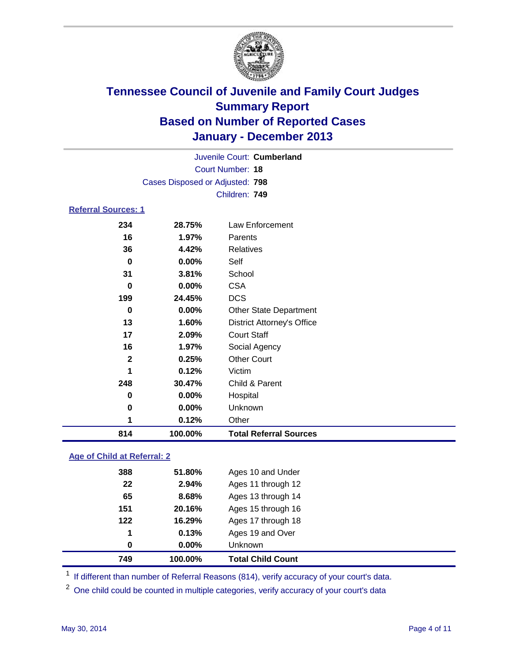

| Juvenile Court: Cumberland |                                 |                                   |  |  |
|----------------------------|---------------------------------|-----------------------------------|--|--|
|                            |                                 | Court Number: 18                  |  |  |
|                            | Cases Disposed or Adjusted: 798 |                                   |  |  |
|                            |                                 | Children: 749                     |  |  |
| <b>Referral Sources: 1</b> |                                 |                                   |  |  |
| 234                        | 28.75%                          | Law Enforcement                   |  |  |
| 16                         | 1.97%                           | Parents                           |  |  |
| 36                         | 4.42%                           | <b>Relatives</b>                  |  |  |
| $\bf{0}$                   | 0.00%                           | Self                              |  |  |
| 31                         | 3.81%                           | School                            |  |  |
| $\bf{0}$                   | 0.00%                           | <b>CSA</b>                        |  |  |
| 199                        | 24.45%                          | <b>DCS</b>                        |  |  |
| 0                          | 0.00%                           | <b>Other State Department</b>     |  |  |
| 13                         | 1.60%                           | <b>District Attorney's Office</b> |  |  |
| 17                         | 2.09%                           | <b>Court Staff</b>                |  |  |
| 16                         | 1.97%                           | Social Agency                     |  |  |
| $\mathbf{2}$               | 0.25%                           | <b>Other Court</b>                |  |  |
| 1                          | 0.12%                           | Victim                            |  |  |
| 248                        | 30.47%                          | Child & Parent                    |  |  |
| 0                          | 0.00%                           | Hospital                          |  |  |
| 0                          | 0.00%                           | Unknown                           |  |  |
| 1                          | 0.12%                           | Other                             |  |  |

### **Age of Child at Referral: 2**

| 749 | 100.00%  | <b>Total Child Count</b> |  |
|-----|----------|--------------------------|--|
| 0   | $0.00\%$ | Unknown                  |  |
| 1   | 0.13%    | Ages 19 and Over         |  |
| 122 | 16.29%   | Ages 17 through 18       |  |
| 151 | 20.16%   | Ages 15 through 16       |  |
| 65  | 8.68%    | Ages 13 through 14       |  |
| 22  | 2.94%    | Ages 11 through 12       |  |
| 388 | 51.80%   | Ages 10 and Under        |  |
|     |          |                          |  |

<sup>1</sup> If different than number of Referral Reasons (814), verify accuracy of your court's data.

<sup>2</sup> One child could be counted in multiple categories, verify accuracy of your court's data

**100.00% Total Referral Sources**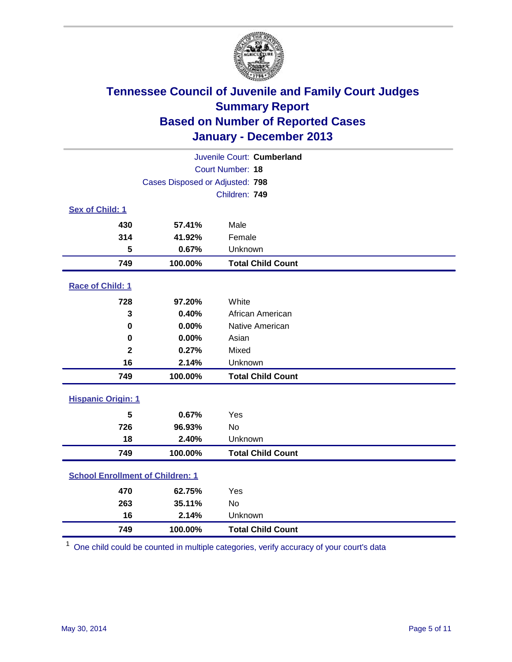

| Juvenile Court: Cumberland              |                                 |                          |  |
|-----------------------------------------|---------------------------------|--------------------------|--|
|                                         |                                 | Court Number: 18         |  |
|                                         | Cases Disposed or Adjusted: 798 |                          |  |
|                                         |                                 | Children: 749            |  |
| Sex of Child: 1                         |                                 |                          |  |
| 430                                     | 57.41%                          | Male                     |  |
| 314                                     | 41.92%                          | Female                   |  |
| 5                                       | 0.67%                           | Unknown                  |  |
| 749                                     | 100.00%                         | <b>Total Child Count</b> |  |
| Race of Child: 1                        |                                 |                          |  |
| 728                                     | 97.20%                          | White                    |  |
| 3                                       | 0.40%                           | African American         |  |
| 0                                       | 0.00%                           | Native American          |  |
| 0                                       | 0.00%                           | Asian                    |  |
| $\overline{\mathbf{2}}$                 | 0.27%                           | Mixed                    |  |
| 16                                      | 2.14%                           | Unknown                  |  |
| 749                                     | 100.00%                         | <b>Total Child Count</b> |  |
| <b>Hispanic Origin: 1</b>               |                                 |                          |  |
| 5                                       | 0.67%                           | Yes                      |  |
| 726                                     | 96.93%                          | No                       |  |
| 18                                      | 2.40%                           | Unknown                  |  |
| 749                                     | 100.00%                         | <b>Total Child Count</b> |  |
| <b>School Enrollment of Children: 1</b> |                                 |                          |  |
| 470                                     | 62.75%                          | Yes                      |  |
| 263                                     | 35.11%                          | <b>No</b>                |  |
| 16                                      | 2.14%                           | Unknown                  |  |
| 749                                     | 100.00%                         | <b>Total Child Count</b> |  |

One child could be counted in multiple categories, verify accuracy of your court's data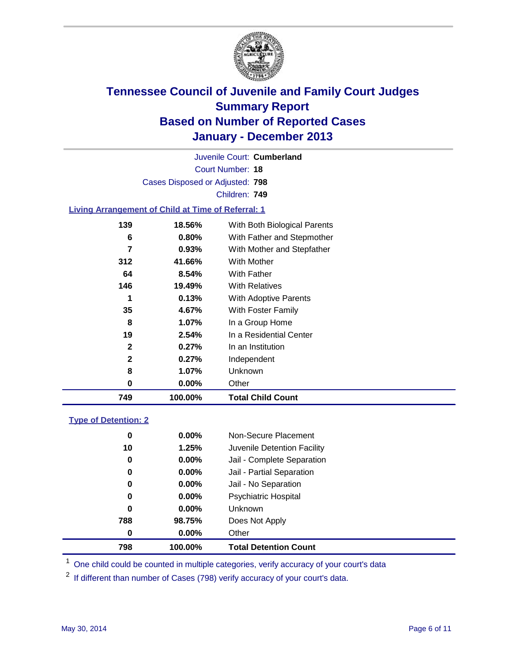

Court Number: **18** Juvenile Court: **Cumberland** Cases Disposed or Adjusted: **798** Children: **749**

### **Living Arrangement of Child at Time of Referral: 1**

| 749          | 100.00%  | <b>Total Child Count</b>     |
|--------------|----------|------------------------------|
| 0            | $0.00\%$ | Other                        |
| 8            | 1.07%    | Unknown                      |
| 2            | 0.27%    | Independent                  |
| $\mathbf{2}$ | 0.27%    | In an Institution            |
| 19           | 2.54%    | In a Residential Center      |
| 8            | 1.07%    | In a Group Home              |
| 35           | 4.67%    | With Foster Family           |
| 1            | 0.13%    | <b>With Adoptive Parents</b> |
| 146          | 19.49%   | <b>With Relatives</b>        |
| 64           | 8.54%    | With Father                  |
| 312          | 41.66%   | With Mother                  |
| 7            | 0.93%    | With Mother and Stepfather   |
| 6            | $0.80\%$ | With Father and Stepmother   |
| 139          | 18.56%   | With Both Biological Parents |
|              |          |                              |

### **Type of Detention: 2**

| 798 | 100.00% |                   | <b>Total Detention Count</b> |
|-----|---------|-------------------|------------------------------|
|     | 0       | $0.00\%$<br>Other |                              |
| 788 | 98.75%  |                   | Does Not Apply               |
|     | 0       | $0.00\%$          | <b>Unknown</b>               |
|     | 0       | $0.00\%$          | <b>Psychiatric Hospital</b>  |
|     | 0       | 0.00%             | Jail - No Separation         |
|     | 0       | $0.00\%$          | Jail - Partial Separation    |
|     | 0       | 0.00%             | Jail - Complete Separation   |
|     | 10      | 1.25%             | Juvenile Detention Facility  |
|     | 0       | $0.00\%$          | Non-Secure Placement         |
|     |         |                   |                              |

<sup>1</sup> One child could be counted in multiple categories, verify accuracy of your court's data

<sup>2</sup> If different than number of Cases (798) verify accuracy of your court's data.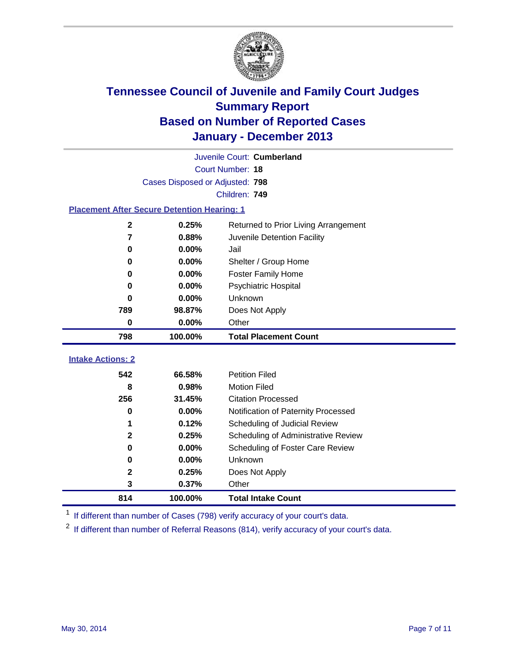

| Juvenile Court: Cumberland                         |                                 |                                      |  |  |
|----------------------------------------------------|---------------------------------|--------------------------------------|--|--|
|                                                    |                                 | Court Number: 18                     |  |  |
|                                                    | Cases Disposed or Adjusted: 798 |                                      |  |  |
|                                                    |                                 | Children: 749                        |  |  |
| <b>Placement After Secure Detention Hearing: 1</b> |                                 |                                      |  |  |
| $\mathbf 2$                                        | 0.25%                           | Returned to Prior Living Arrangement |  |  |
| 7                                                  | 0.88%                           | Juvenile Detention Facility          |  |  |
| 0                                                  | 0.00%                           | Jail                                 |  |  |
| 0                                                  | 0.00%                           | Shelter / Group Home                 |  |  |
| 0                                                  | 0.00%                           | <b>Foster Family Home</b>            |  |  |
| 0                                                  | 0.00%                           | <b>Psychiatric Hospital</b>          |  |  |
| 0                                                  | 0.00%                           | Unknown                              |  |  |
| 789                                                | 98.87%                          | Does Not Apply                       |  |  |
| 0                                                  | 0.00%                           | Other                                |  |  |
| 798                                                | 100.00%                         | <b>Total Placement Count</b>         |  |  |
|                                                    |                                 |                                      |  |  |
| <b>Intake Actions: 2</b>                           |                                 |                                      |  |  |
| 542                                                | 66.58%                          | <b>Petition Filed</b>                |  |  |
| 8                                                  | 0.98%                           | <b>Motion Filed</b>                  |  |  |
| 256                                                | 31.45%                          | <b>Citation Processed</b>            |  |  |
| $\bf{0}$                                           | 0.00%                           | Notification of Paternity Processed  |  |  |
| 1                                                  | 0.12%                           | Scheduling of Judicial Review        |  |  |
| $\mathbf 2$                                        | 0.25%                           | Scheduling of Administrative Review  |  |  |
| 0                                                  | 0.00%                           | Scheduling of Foster Care Review     |  |  |
| 0                                                  | 0.00%                           | Unknown                              |  |  |
| 2                                                  | 0.25%                           | Does Not Apply                       |  |  |
|                                                    |                                 |                                      |  |  |
| 3                                                  | 0.37%                           | Other                                |  |  |

<sup>1</sup> If different than number of Cases (798) verify accuracy of your court's data.

If different than number of Referral Reasons (814), verify accuracy of your court's data.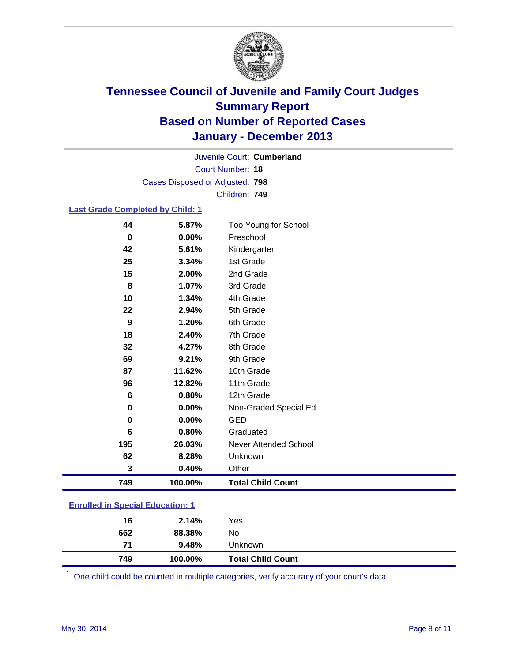

Court Number: **18** Juvenile Court: **Cumberland** Cases Disposed or Adjusted: **798** Children: **749**

### **Last Grade Completed by Child: 1**

| 749      | 100.00%        | <b>Total Child Count</b> |
|----------|----------------|--------------------------|
| 62<br>3  | 8.28%<br>0.40% | Unknown<br>Other         |
| 195      | 26.03%         | Never Attended School    |
| 6        | 0.80%          | Graduated                |
| $\bf{0}$ | 0.00%          | <b>GED</b>               |
| 0        | 0.00%          | Non-Graded Special Ed    |
| 6        | 0.80%          | 12th Grade               |
| 96       | 12.82%         | 11th Grade               |
| 87       | 11.62%         | 10th Grade               |
| 69       | 9.21%          | 9th Grade                |
| 32       | 4.27%          | 8th Grade                |
| 18       | 2.40%          | 7th Grade                |
| 9        | 1.20%          | 6th Grade                |
| 22       | 2.94%          | 5th Grade                |
| 10       | 1.34%          | 4th Grade                |
| 8        | 1.07%          | 3rd Grade                |
| 15       | 2.00%          | 2nd Grade                |
| 25       | 3.34%          | 1st Grade                |
| 42       | 5.61%          | Kindergarten             |
| 0        | 0.00%          | Preschool                |
| 44       | 5.87%          | Too Young for School     |

One child could be counted in multiple categories, verify accuracy of your court's data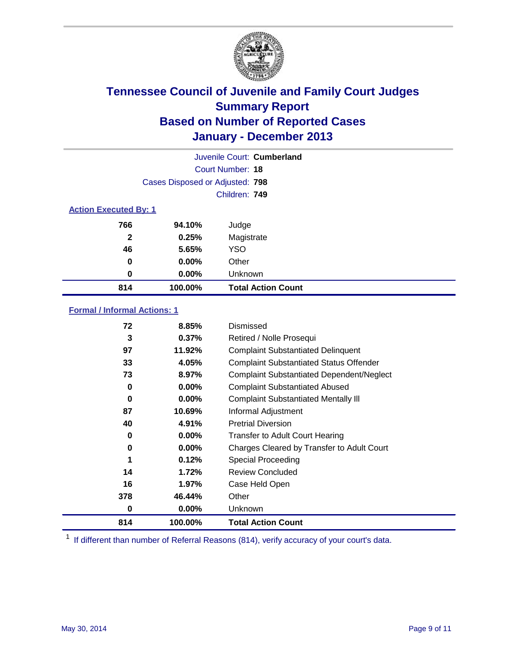

|                              |                                 | Juvenile Court: Cumberland |
|------------------------------|---------------------------------|----------------------------|
|                              |                                 | Court Number: 18           |
|                              | Cases Disposed or Adjusted: 798 |                            |
|                              |                                 | Children: 749              |
| <b>Action Executed By: 1</b> |                                 |                            |
| 766                          | 94.10%                          | Judge                      |
| $\mathbf{2}$                 | 0.25%                           | Magistrate                 |
| 46                           | 5.65%                           | <b>YSO</b>                 |
| 0                            | $0.00\%$                        | Other                      |
| 0                            | $0.00\%$                        | Unknown                    |
| 814                          | 100.00%                         | <b>Total Action Count</b>  |

### **Formal / Informal Actions: 1**

| 72  | 8.85%    | Dismissed                                        |
|-----|----------|--------------------------------------------------|
| 3   | 0.37%    | Retired / Nolle Prosequi                         |
| 97  | 11.92%   | <b>Complaint Substantiated Delinquent</b>        |
| 33  | 4.05%    | <b>Complaint Substantiated Status Offender</b>   |
| 73  | 8.97%    | <b>Complaint Substantiated Dependent/Neglect</b> |
| 0   | $0.00\%$ | <b>Complaint Substantiated Abused</b>            |
| 0   | $0.00\%$ | <b>Complaint Substantiated Mentally III</b>      |
| 87  | 10.69%   | Informal Adjustment                              |
| 40  | 4.91%    | <b>Pretrial Diversion</b>                        |
| 0   | $0.00\%$ | <b>Transfer to Adult Court Hearing</b>           |
| 0   | 0.00%    | Charges Cleared by Transfer to Adult Court       |
| 1   | 0.12%    | Special Proceeding                               |
| 14  | 1.72%    | <b>Review Concluded</b>                          |
| 16  | 1.97%    | Case Held Open                                   |
| 378 | 46.44%   | Other                                            |
| 0   | $0.00\%$ | Unknown                                          |
| 814 | 100.00%  | <b>Total Action Count</b>                        |

<sup>1</sup> If different than number of Referral Reasons (814), verify accuracy of your court's data.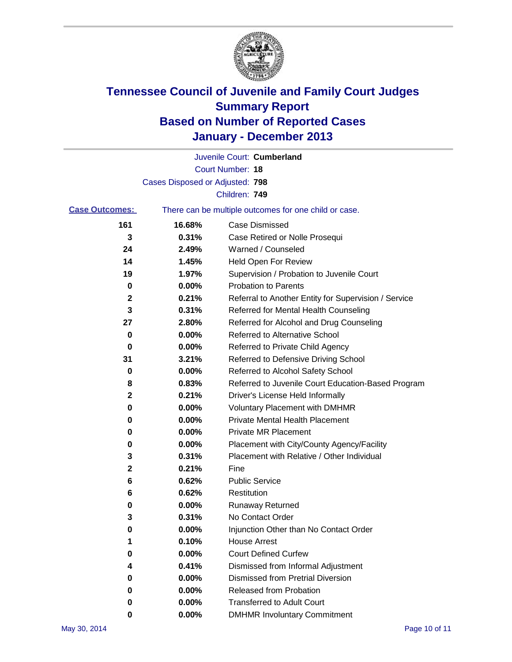

|                       |                                 | Juvenile Court: Cumberland                            |
|-----------------------|---------------------------------|-------------------------------------------------------|
|                       |                                 | <b>Court Number: 18</b>                               |
|                       | Cases Disposed or Adjusted: 798 |                                                       |
|                       |                                 | Children: 749                                         |
| <b>Case Outcomes:</b> |                                 | There can be multiple outcomes for one child or case. |
| 161                   | 16.68%                          | <b>Case Dismissed</b>                                 |
| 3                     | 0.31%                           | Case Retired or Nolle Prosequi                        |
| 24                    | 2.49%                           | Warned / Counseled                                    |
| 14                    | 1.45%                           | <b>Held Open For Review</b>                           |
| 19                    | 1.97%                           | Supervision / Probation to Juvenile Court             |
| 0                     | 0.00%                           | <b>Probation to Parents</b>                           |
| 2                     | 0.21%                           | Referral to Another Entity for Supervision / Service  |
| 3                     | 0.31%                           | Referred for Mental Health Counseling                 |
| 27                    | 2.80%                           | Referred for Alcohol and Drug Counseling              |
| 0                     | 0.00%                           | <b>Referred to Alternative School</b>                 |
| 0                     | 0.00%                           | Referred to Private Child Agency                      |
| 31                    | 3.21%                           | Referred to Defensive Driving School                  |
| 0                     | 0.00%                           | Referred to Alcohol Safety School                     |
| 8                     | 0.83%                           | Referred to Juvenile Court Education-Based Program    |
| 2                     | 0.21%                           | Driver's License Held Informally                      |
| 0                     | 0.00%                           | <b>Voluntary Placement with DMHMR</b>                 |
| 0                     | 0.00%                           | <b>Private Mental Health Placement</b>                |
| 0                     | 0.00%                           | <b>Private MR Placement</b>                           |
| 0                     | 0.00%                           | Placement with City/County Agency/Facility            |
| 3                     | 0.31%                           | Placement with Relative / Other Individual            |
| $\mathbf{2}$          | 0.21%                           | Fine                                                  |
| 6                     | 0.62%                           | <b>Public Service</b>                                 |
| 6                     | 0.62%                           | Restitution                                           |
| 0                     | 0.00%                           | <b>Runaway Returned</b>                               |
| 3                     | 0.31%                           | No Contact Order                                      |
| U                     | 0.00%                           | Injunction Other than No Contact Order                |
| 1                     | 0.10%                           | <b>House Arrest</b>                                   |
| 0                     | 0.00%                           | <b>Court Defined Curfew</b>                           |
| 4                     | 0.41%                           | Dismissed from Informal Adjustment                    |
| 0                     | 0.00%                           | <b>Dismissed from Pretrial Diversion</b>              |
| 0                     | 0.00%                           | Released from Probation                               |
| 0                     | 0.00%                           | <b>Transferred to Adult Court</b>                     |
| 0                     | $0.00\%$                        | <b>DMHMR Involuntary Commitment</b>                   |